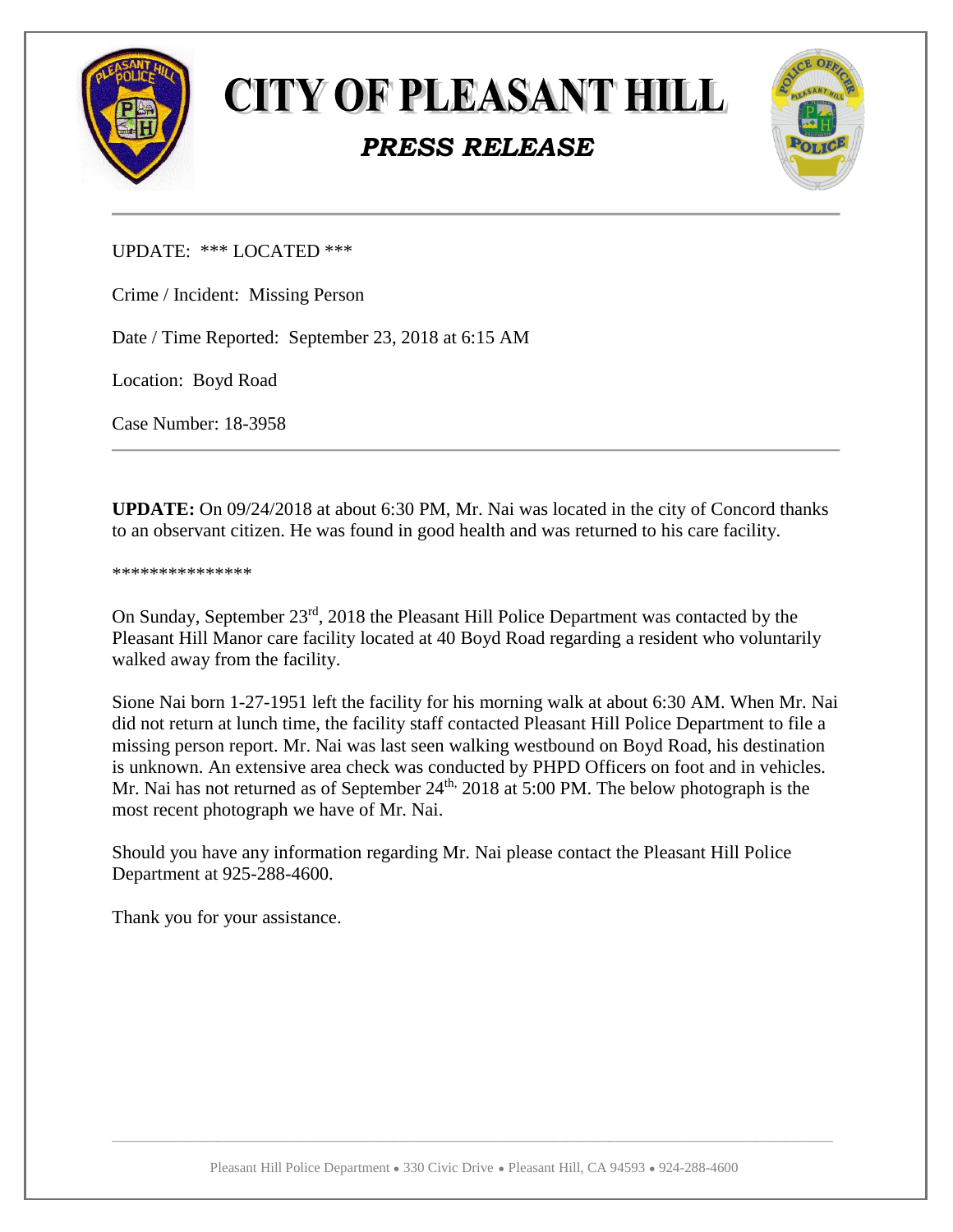

**CITY OF PLEASANT HILL** 

## *PRESS RELEASE*



UPDATE: \*\*\* LOCATED \*\*\*

Crime / Incident: Missing Person

Date / Time Reported: September 23, 2018 at 6:15 AM

Location: Boyd Road

Case Number: 18-3958

**UPDATE:** On 09/24/2018 at about 6:30 PM, Mr. Nai was located in the city of Concord thanks to an observant citizen. He was found in good health and was returned to his care facility.

\*\*\*\*\*\*\*\*\*\*\*\*\*\*\*

On Sunday, September 23rd, 2018 the Pleasant Hill Police Department was contacted by the Pleasant Hill Manor care facility located at 40 Boyd Road regarding a resident who voluntarily walked away from the facility.

Sione Nai born 1-27-1951 left the facility for his morning walk at about 6:30 AM. When Mr. Nai did not return at lunch time, the facility staff contacted Pleasant Hill Police Department to file a missing person report. Mr. Nai was last seen walking westbound on Boyd Road, his destination is unknown. An extensive area check was conducted by PHPD Officers on foot and in vehicles. Mr. Nai has not returned as of September  $24<sup>th</sup>$ ,  $2018$  at 5:00 PM. The below photograph is the most recent photograph we have of Mr. Nai.

Should you have any information regarding Mr. Nai please contact the Pleasant Hill Police Department at 925-288-4600.

Thank you for your assistance.

 $\Box$